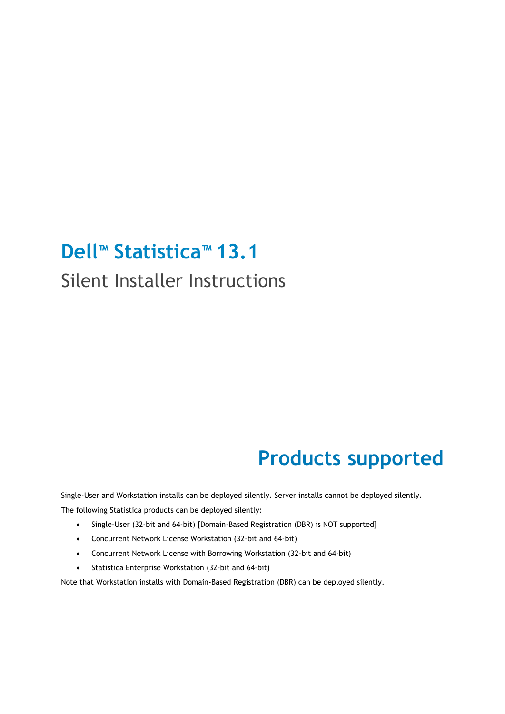## **Dell™ Statistica™ 13.1**

#### Silent Installer Instructions

## **Products supported**

Single-User and Workstation installs can be deployed silently. Server installs cannot be deployed silently. The following Statistica products can be deployed silently:

- Single-User (32-bit and 64-bit) [Domain-Based Registration (DBR) is NOT supported]
- Concurrent Network License Workstation (32-bit and 64-bit)
- Concurrent Network License with Borrowing Workstation (32-bit and 64-bit)
- Statistica Enterprise Workstation (32-bit and 64-bit)

Note that Workstation installs with Domain-Based Registration (DBR) can be deployed silently.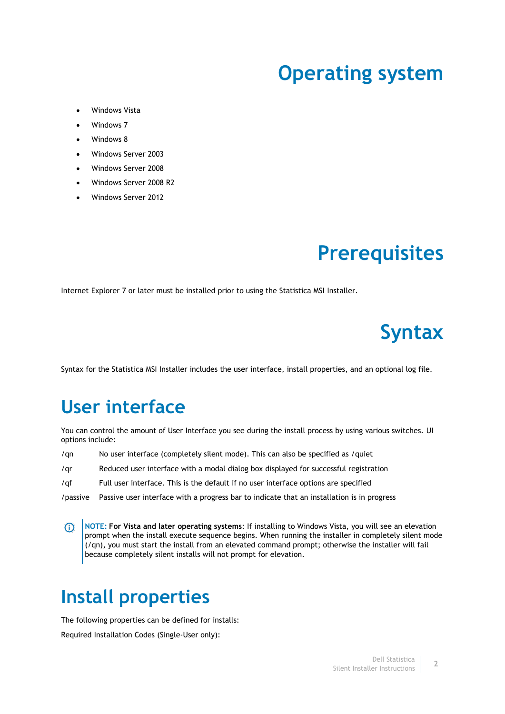#### **Operating system**

- Windows Vista
- Windows 7
- Windows 8
- Windows Server 2003
- Windows Server 2008
- Windows Server 2008 R2
- Windows Server 2012

## **Prerequisites**

Internet Explorer 7 or later must be installed prior to using the Statistica MSI Installer.

# **Syntax**

Syntax for the Statistica MSI Installer includes the user interface, install properties, and an optional log file.

#### **User interface**

You can control the amount of User Interface you see during the install process by using various switches. UI options include:

- /qn No user interface (completely silent mode). This can also be specified as /quiet
- /qr Reduced user interface with a modal dialog box displayed for successful registration
- /qf Full user interface. This is the default if no user interface options are specified
- /passive Passive user interface with a progress bar to indicate that an installation is in progress
- **NOTE: For Vista and later operating systems**: If installing to Windows Vista, you will see an elevation  $\Omega$ prompt when the install execute sequence begins. When running the installer in completely silent mode (/qn), you must start the install from an elevated command prompt; otherwise the installer will fail because completely silent installs will not prompt for elevation.

#### **Install properties**

The following properties can be defined for installs:

Required Installation Codes (Single-User only):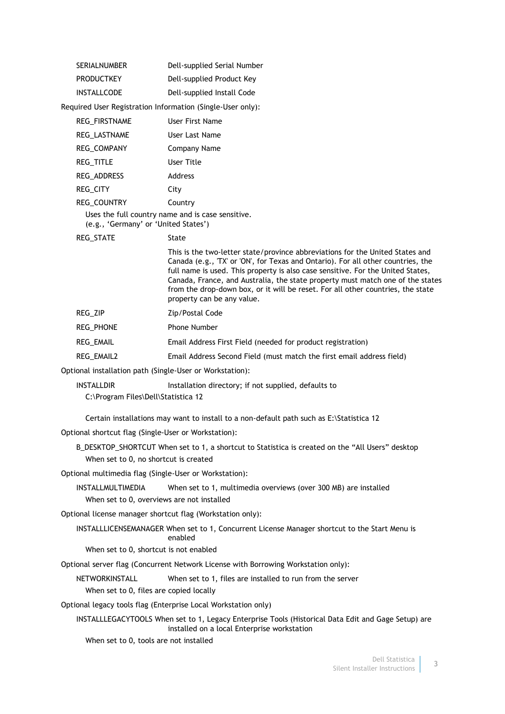| <b>SERIALNUMBER</b> | Dell-supplied Serial Number |
|---------------------|-----------------------------|
| <b>PRODUCTKEY</b>   | Dell-supplied Product Key   |
| INSTALLCODE         | Dell-supplied Install Code  |

Required User Registration Information (Single-User only):

| <b>REG FIRSTNAME</b>                                                                                                                                                                                                                                                                                                                                                                                                    | User First Name |
|-------------------------------------------------------------------------------------------------------------------------------------------------------------------------------------------------------------------------------------------------------------------------------------------------------------------------------------------------------------------------------------------------------------------------|-----------------|
| REG LASTNAME                                                                                                                                                                                                                                                                                                                                                                                                            | User Last Name  |
| <b>REG COMPANY</b>                                                                                                                                                                                                                                                                                                                                                                                                      | Company Name    |
| <b>REG TITLE</b>                                                                                                                                                                                                                                                                                                                                                                                                        | User Title      |
| <b>REG ADDRESS</b>                                                                                                                                                                                                                                                                                                                                                                                                      | Address         |
| <b>REG CITY</b>                                                                                                                                                                                                                                                                                                                                                                                                         | City            |
| <b>REG COUNTRY</b>                                                                                                                                                                                                                                                                                                                                                                                                      | Country         |
| $\mathbf{H} = \mathbf{H} \mathbf{H} = \mathbf{H} \mathbf{H} = \mathbf{H} \mathbf{H} = \mathbf{H} \mathbf{H} = \mathbf{H} \mathbf{H} \mathbf{H} = \mathbf{H} \mathbf{H} \mathbf{H} = \mathbf{H} \mathbf{H} \mathbf{H} = \mathbf{H} \mathbf{H} \mathbf{H} \mathbf{H} = \mathbf{H} \mathbf{H} \mathbf{H} \mathbf{H} = \mathbf{H} \mathbf{H} \mathbf{H} \mathbf{H} \mathbf{H} = \mathbf{H} \mathbf{H} \mathbf{H} \mathbf{H$ |                 |

Uses the full country name and is case sensitive. (e.g., 'Germany' or 'United States')

REG\_STATE 5tate

This is the two-letter state/province abbreviations for the United States and Canada (e.g., 'TX' or 'ON', for Texas and Ontario). For all other countries, the full name is used. This property is also case sensitive. For the United States, Canada, France, and Australia, the state property must match one of the states from the drop-down box, or it will be reset. For all other countries, the state property can be any value.

REG\_PHONE Phone Number

REG\_EMAIL Email Address First Field (needed for product registration)

REG\_EMAIL2 Email Address Second Field (must match the first email address field)

Optional installation path (Single-User or Workstation):

INSTALLDIR Installation directory; if not supplied, defaults to

C:\Program Files\Dell\Statistica 12

Certain installations may want to install to a non-default path such as E:\Statistica 12

Optional shortcut flag (Single-User or Workstation):

B\_DESKTOP\_SHORTCUT When set to 1, a shortcut to Statistica is created on the "All Users" desktop When set to 0, no shortcut is created

Optional multimedia flag (Single-User or Workstation):

INSTALLMULTIMEDIA When set to 1, multimedia overviews (over 300 MB) are installed When set to 0, overviews are not installed

Optional license manager shortcut flag (Workstation only):

INSTALLLICENSEMANAGER When set to 1, Concurrent License Manager shortcut to the Start Menu is enabled

When set to 0, shortcut is not enabled

Optional server flag (Concurrent Network License with Borrowing Workstation only):

NETWORKINSTALL When set to 1, files are installed to run from the server

When set to 0, files are copied locally

Optional legacy tools flag (Enterprise Local Workstation only)

INSTALLLEGACYTOOLS When set to 1, Legacy Enterprise Tools (Historical Data Edit and Gage Setup) are installed on a local Enterprise workstation

When set to 0, tools are not installed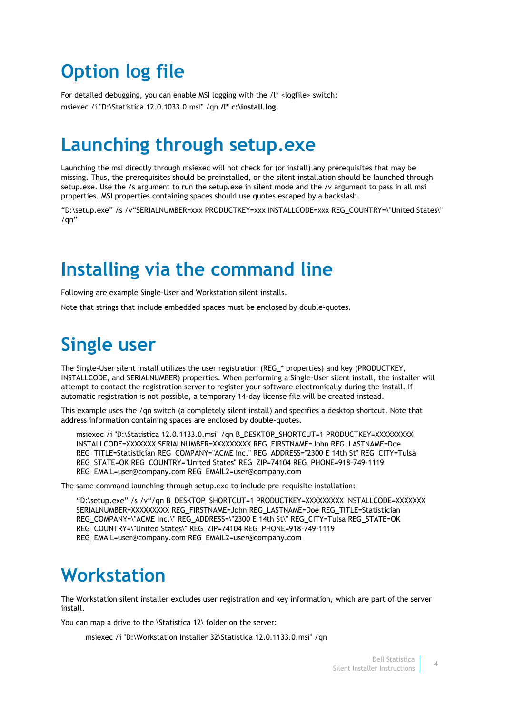### **Option log file**

For detailed debugging, you can enable MSI logging with the /l\* <logfile> switch: msiexec /i "D:\Statistica 12.0.1033.0.msi" /qn **/l\* c:\install.log**

#### **Launching through setup.exe**

Launching the msi directly through msiexec will not check for (or install) any prerequisites that may be missing. Thus, the prerequisites should be preinstalled, or the silent installation should be launched through setup.exe. Use the /s argument to run the setup.exe in silent mode and the /v argument to pass in all msi properties. MSI properties containing spaces should use quotes escaped by a backslash.

"D:\setup.exe" /s /v"SERIALNUMBER=xxx PRODUCTKEY=xxx INSTALLCODE=xxx REG\_COUNTRY=\"United States\" /qn"

#### **Installing via the command line**

Following are example Single-User and Workstation silent installs.

Note that strings that include embedded spaces must be enclosed by double-quotes.

## **Single user**

The Single-User silent install utilizes the user registration (REG\_\* properties) and key (PRODUCTKEY, INSTALLCODE, and SERIALNUMBER) properties. When performing a Single-User silent install, the installer will attempt to contact the registration server to register your software electronically during the install. If automatic registration is not possible, a temporary 14-day license file will be created instead.

This example uses the /qn switch (a completely silent install) and specifies a desktop shortcut. Note that address information containing spaces are enclosed by double-quotes.

msiexec /i "D:\Statistica 12.0.1133.0.msi" /qn B\_DESKTOP\_SHORTCUT=1 PRODUCTKEY=XXXXXXXXX INSTALLCODE=XXXXXXX SERIALNUMBER=XXXXXXXXX REG\_FIRSTNAME=John REG\_LASTNAME=Doe REG\_TITLE=Statistician REG\_COMPANY="ACME Inc." REG\_ADDRESS="2300 E 14th St" REG\_CITY=Tulsa REG\_STATE=OK REG\_COUNTRY="United States" REG\_ZIP=74104 REG\_PHONE=918-749-1119 REG\_EMAIL=user@company.com REG\_EMAIL2=user@company.com

The same command launching through setup.exe to include pre-requisite installation:

```
"D:\setup.exe" /s /v"/qn B_DESKTOP_SHORTCUT=1 PRODUCTKEY=XXXXXXXXX INSTALLCODE=XXXXXXX 
SERIALNUMBER=XXXXXXXXX REG_FIRSTNAME=John REG_LASTNAME=Doe REG_TITLE=Statistician 
REG_COMPANY=\"ACME Inc.\" REG_ADDRESS=\"2300 E 14th St\" REG_CITY=Tulsa REG_STATE=OK 
REG_COUNTRY=\"United States\" REG_ZIP=74104 REG_PHONE=918-749-1119 
REG_EMAIL=user@company.com REG_EMAIL2=user@company.com
```
#### **Workstation**

The Workstation silent installer excludes user registration and key information, which are part of the server install.

You can map a drive to the \Statistica 12\ folder on the server:

msiexec /i "D:\Workstation Installer 32\Statistica 12.0.1133.0.msi" /qn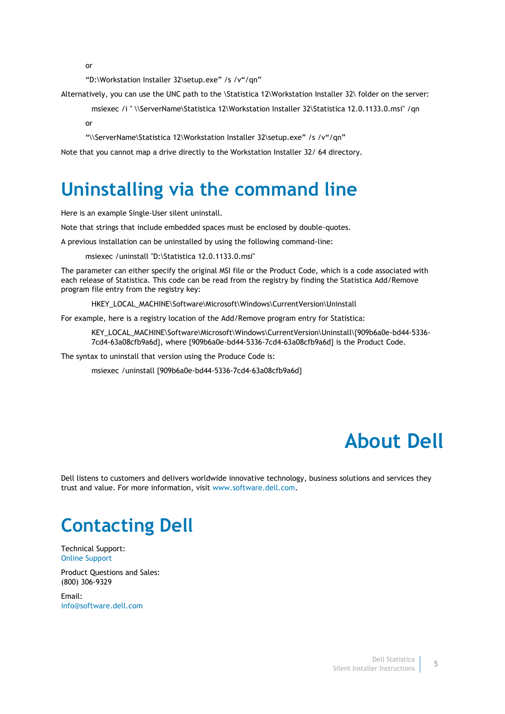or

"D:\Workstation Installer 32\setup.exe" /s /v"/qn"

Alternatively, you can use the UNC path to the \Statistica 12\Workstation Installer 32\ folder on the server:

msiexec /i " \\ServerName\Statistica 12\Workstation Installer 32\Statistica 12.0.1133.0.msi" /qn

or

"\\ServerName\Statistica 12\Workstation Installer 32\setup.exe" /s /v"/qn"

Note that you cannot map a drive directly to the Workstation Installer 32/ 64 directory.

#### **Uninstalling via the command line**

Here is an example Single-User silent uninstall.

Note that strings that include embedded spaces must be enclosed by double-quotes.

A previous installation can be uninstalled by using the following command-line:

msiexec /uninstall "D:\Statistica 12.0.1133.0.msi"

The parameter can either specify the original MSI file or the Product Code, which is a code associated with each release of Statistica. This code can be read from the registry by finding the Statistica Add/Remove program file entry from the registry key:

HKEY\_LOCAL\_MACHINE\Software\Microsoft\Windows\CurrentVersion\Uninstall

For example, here is a registry location of the Add/Remove program entry for Statistica:

KEY\_LOCAL\_MACHINE\Software\Microsoft\Windows\CurrentVersion\Uninstall\{909b6a0e-bd44-5336-7cd4-63a08cfb9a6d}, where {909b6a0e-bd44-5336-7cd4-63a08cfb9a6d} is the Product Code.

The syntax to uninstall that version using the Produce Code is:

msiexec /uninstall {909b6a0e-bd44-5336-7cd4-63a08cfb9a6d}

## **About Dell**

Dell listens to customers and delivers worldwide innovative technology, business solutions and services they trust and value. For more information, visit [www.software.dell.com.](http://www.software.dell.com/)

# **Contacting Dell**

Technical Support: [Online Support](http://software.dell.com/support/)

Product Questions and Sales: (800) 306-9329

Email: [info@software.dell.com](mailto:info@software.dell.com)